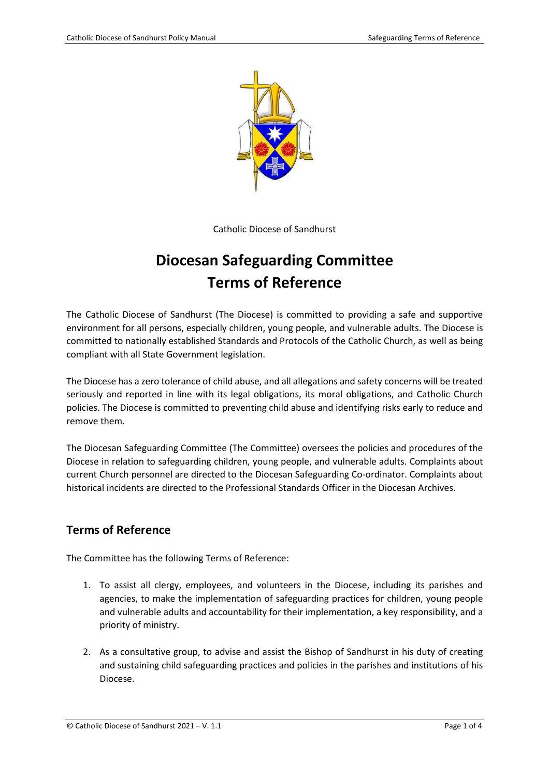

Catholic Diocese of Sandhurst

# **Diocesan Safeguarding Committee Terms of Reference**

The Catholic Diocese of Sandhurst (The Diocese) is committed to providing a safe and supportive environment for all persons, especially children, young people, and vulnerable adults. The Diocese is committed to nationally established Standards and Protocols of the Catholic Church, as well as being compliant with all State Government legislation.

The Diocese has a zero tolerance of child abuse, and all allegations and safety concerns will be treated seriously and reported in line with its legal obligations, its moral obligations, and Catholic Church policies. The Diocese is committed to preventing child abuse and identifying risks early to reduce and remove them.

The Diocesan Safeguarding Committee (The Committee) oversees the policies and procedures of the Diocese in relation to safeguarding children, young people, and vulnerable adults. Complaints about current Church personnel are directed to the Diocesan Safeguarding Co-ordinator. Complaints about historical incidents are directed to the Professional Standards Officer in the Diocesan Archives.

#### **Terms of Reference**

The Committee has the following Terms of Reference:

- 1. To assist all clergy, employees, and volunteers in the Diocese, including its parishes and agencies, to make the implementation of safeguarding practices for children, young people and vulnerable adults and accountability for their implementation, a key responsibility, and a priority of ministry.
- 2. As a consultative group, to advise and assist the Bishop of Sandhurst in his duty of creating and sustaining child safeguarding practices and policies in the parishes and institutions of his Diocese.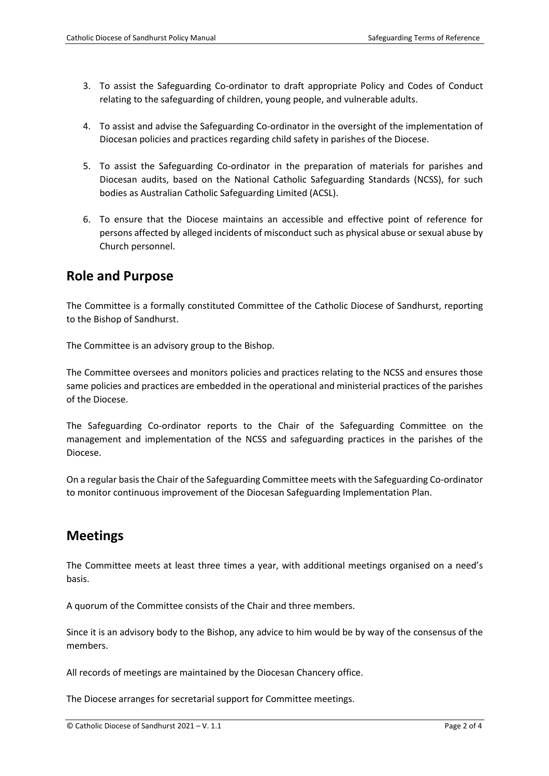- 3. To assist the Safeguarding Co-ordinator to draft appropriate Policy and Codes of Conduct relating to the safeguarding of children, young people, and vulnerable adults.
- 4. To assist and advise the Safeguarding Co-ordinator in the oversight of the implementation of Diocesan policies and practices regarding child safety in parishes of the Diocese.
- 5. To assist the Safeguarding Co-ordinator in the preparation of materials for parishes and Diocesan audits, based on the National Catholic Safeguarding Standards (NCSS), for such bodies as Australian Catholic Safeguarding Limited (ACSL).
- 6. To ensure that the Diocese maintains an accessible and effective point of reference for persons affected by alleged incidents of misconduct such as physical abuse or sexual abuse by Church personnel.

### **Role and Purpose**

The Committee is a formally constituted Committee of the Catholic Diocese of Sandhurst, reporting to the Bishop of Sandhurst.

The Committee is an advisory group to the Bishop.

The Committee oversees and monitors policies and practices relating to the NCSS and ensures those same policies and practices are embedded in the operational and ministerial practices of the parishes of the Diocese.

The Safeguarding Co-ordinator reports to the Chair of the Safeguarding Committee on the management and implementation of the NCSS and safeguarding practices in the parishes of the Diocese.

On a regular basis the Chair of the Safeguarding Committee meets with the Safeguarding Co-ordinator to monitor continuous improvement of the Diocesan Safeguarding Implementation Plan.

# **Meetings**

The Committee meets at least three times a year, with additional meetings organised on a need's basis.

A quorum of the Committee consists of the Chair and three members.

Since it is an advisory body to the Bishop, any advice to him would be by way of the consensus of the members.

All records of meetings are maintained by the Diocesan Chancery office.

The Diocese arranges for secretarial support for Committee meetings.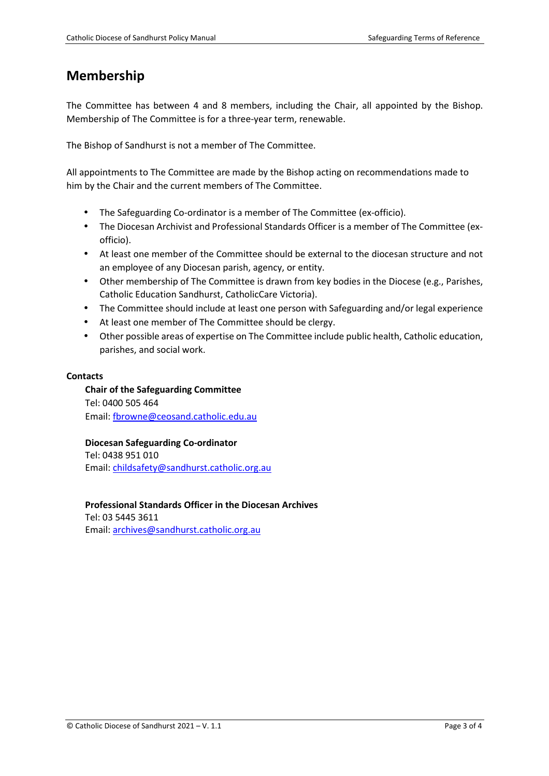# **Membership**

The Committee has between 4 and 8 members, including the Chair, all appointed by the Bishop. Membership of The Committee is for a three-year term, renewable.

The Bishop of Sandhurst is not a member of The Committee.

All appointments to The Committee are made by the Bishop acting on recommendations made to him by the Chair and the current members of The Committee.

- The Safeguarding Co-ordinator is a member of The Committee (ex-officio).
- The Diocesan Archivist and Professional Standards Officer is a member of The Committee (exofficio).
- At least one member of the Committee should be external to the diocesan structure and not an employee of any Diocesan parish, agency, or entity.
- Other membership of The Committee is drawn from key bodies in the Diocese (e.g., Parishes, Catholic Education Sandhurst, CatholicCare Victoria).
- The Committee should include at least one person with Safeguarding and/or legal experience
- At least one member of The Committee should be clergy.
- Other possible areas of expertise on The Committee include public health, Catholic education, parishes, and social work.

#### **Contacts**

**Chair of the Safeguarding Committee**  Tel: 0400 505 464 Email: fbrowne@ceosand.catholic.edu.au

**Diocesan Safeguarding Co-ordinator**  Tel: 0438 951 010 Email: childsafety@sandhurst.catholic.org.au

**Professional Standards Officer in the Diocesan Archives** 

Tel: 03 5445 3611 Email: archives@sandhurst.catholic.org.au